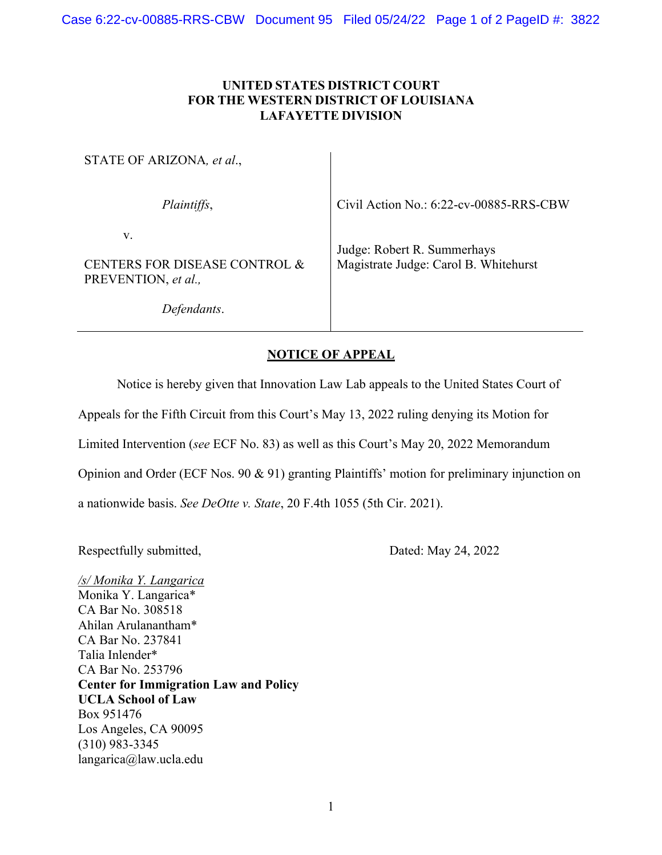## **UNITED STATES DISTRICT COURT FOR THE WESTERN DISTRICT OF LOUISIANA LAFAYETTE DIVISION**

| STATE OF ARIZONA, et al.,                                  |                                                                      |
|------------------------------------------------------------|----------------------------------------------------------------------|
| Plaintiffs,                                                | Civil Action No.: 6:22-cv-00885-RRS-CBW                              |
| v.<br>CENTERS FOR DISEASE CONTROL &<br>PREVENTION, et al., | Judge: Robert R. Summerhays<br>Magistrate Judge: Carol B. Whitehurst |
| Defendants.                                                |                                                                      |

## **NOTICE OF APPEAL**

Notice is hereby given that Innovation Law Lab appeals to the United States Court of

Appeals for the Fifth Circuit from this Court's May 13, 2022 ruling denying its Motion for

Limited Intervention (*see* ECF No. 83) as well as this Court's May 20, 2022 Memorandum

Opinion and Order (ECF Nos. 90 & 91) granting Plaintiffs' motion for preliminary injunction on

a nationwide basis. *See DeOtte v. State*, 20 F.4th 1055 (5th Cir. 2021).

Respectfully submitted, Dated: May 24, 2022

*/s/ Monika Y. Langarica* Monika Y. Langarica\* CA Bar No. 308518 Ahilan Arulanantham\* CA Bar No. 237841 Talia Inlender\* CA Bar No. 253796 **Center for Immigration Law and Policy UCLA School of Law** Box 951476 Los Angeles, CA 90095 (310) 983-3345 langarica@law.ucla.edu